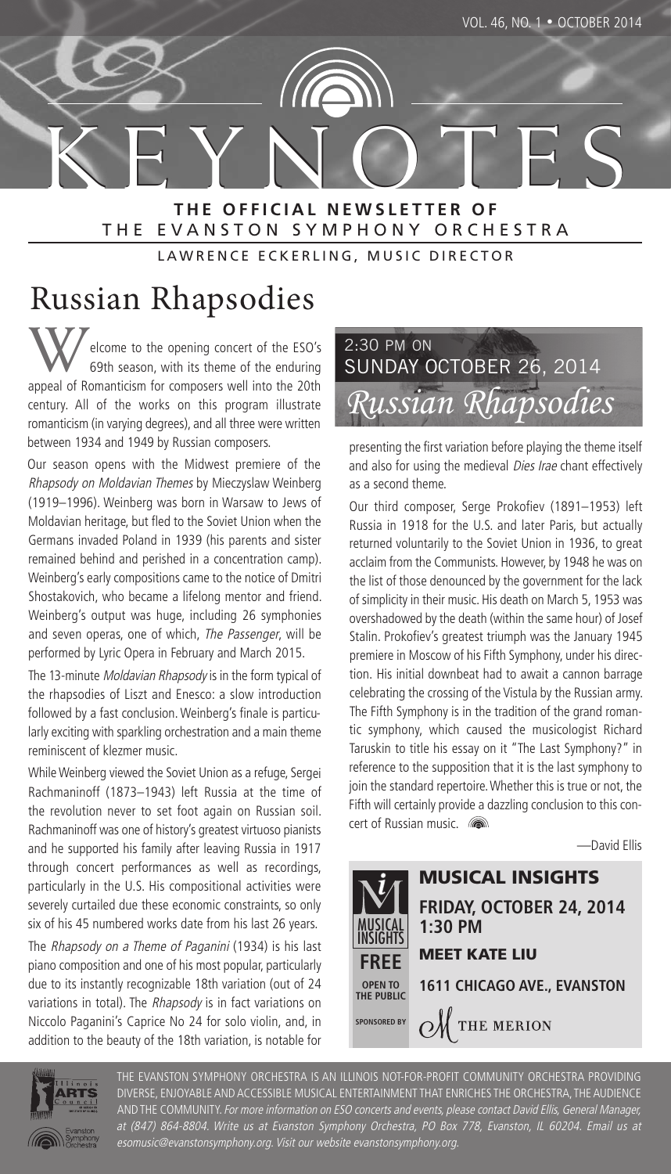

#### **T H E O F F I C I A L N E W S L E T T E R O F** THE EVANSTON SYMPHONY ORCHESTRA

LAWRENCE ECKERLING, MUSIC DIRECTOR

# Russian Rhapsodies

elcome to the opening concert of the ESO's 69th season, with its theme of the enduring appeal of Romanticism for composers well into the 20th century. All of the works on this program illustrate romanticism (in varying degrees), and all three were written between 1934 and 1949 by Russian composers.

Our season opens with the Midwest premiere of the Rhapsody on Moldavian Themes by Mieczyslaw Weinberg (1919–1996). Weinberg was born in Warsaw to Jews of Moldavian heritage, but fled to the Soviet Union when the Germans invaded Poland in 1939 (his parents and sister remained behind and perished in a concentration camp). Weinberg's early compositions came to the notice of Dmitri Shostakovich, who became a lifelong mentor and friend. Weinberg's output was huge, including 26 symphonies and seven operas, one of which, The Passenger, will be performed by Lyric Opera in February and March 2015.

The 13-minute Moldavian Rhapsody is in the form typical of the rhapsodies of Liszt and Enesco: a slow introduction followed by a fast conclusion. Weinberg's finale is particularly exciting with sparkling orchestration and a main theme reminiscent of klezmer music.

While Weinberg viewed the Soviet Union as a refuge, Sergei Rachmaninoff (1873–1943) left Russia at the time of the revolution never to set foot again on Russian soil. Rachmaninoff was one of history's greatest virtuoso pianists and he supported his family after leaving Russia in 1917 through concert performances as well as recordings, particularly in the U.S. His compositional activities were severely curtailed due these economic constraints, so only six of his 45 numbered works date from his last 26 years.

The Rhapsody on a Theme of Paganini (1934) is his last piano composition and one of his most popular, particularly due to its instantly recognizable 18th variation (out of 24 variations in total). The Rhapsody is in fact variations on Niccolo Paganini's Caprice No 24 for solo violin, and, in addition to the beauty of the 18th variation, is notable for

# *Russian Rhapsodies* 2:30 PM ON SUNDAY OCTOBER 26, 2014

presenting the first variation before playing the theme itself and also for using the medieval Dies Irae chant effectively as a second theme.

Our third composer, Serge Prokofiev (1891–1953) left Russia in 1918 for the U.S. and later Paris, but actually returned voluntarily to the Soviet Union in 1936, to great acclaim from the Communists. However, by 1948 he was on the list of those denounced by the government for the lack of simplicity in their music. His death on March 5, 1953 was overshadowed by the death (within the same hour) of Josef Stalin. Prokofiev's greatest triumph was the January 1945 premiere in Moscow of his Fifth Symphony, under his direction. His initial downbeat had to await a cannon barrage celebrating the crossing of the Vistula by the Russian army. The Fifth Symphony is in the tradition of the grand romantic symphony, which caused the musicologist Richard Taruskin to title his essay on it "The Last Symphony?" in reference to the supposition that it is the last symphony to join the standard repertoire. Whether this is true or not, the Fifth will certainly provide a dazzling conclusion to this concert of Russian music. **now** 

—David Ellis





THE EVANSTON SYMPHONY ORCHESTRA IS AN ILLINOIS NOT-FOR-PROFIT COMMUNITY ORCHESTRA PROVIDING DIVERSE, ENJOYABLE AND ACCESSIBLE MUSICAL ENTERTAINMENT THAT ENRICHES THE ORCHESTRA, THE AUDIENCE AND THE COMMUNITY. For more information on ESO concerts and events, please contact David Ellis, General Manager, at (847) 864-8804. Write us at Evanston Symphony Orchestra, PO Box 778, Evanston, IL 60204. Email us at esomusic@evanstonsymphony.org. Visit our website evanstonsymphony.org.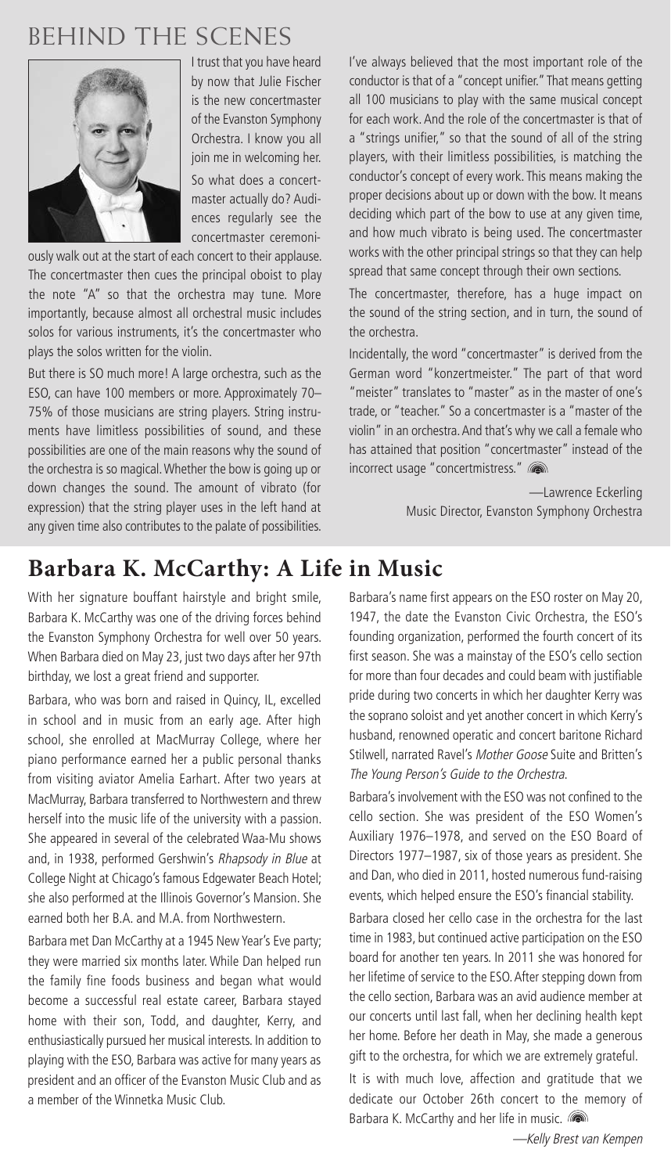# **BEHIND THE SCENES**



I trust that you have heard by now that Julie Fischer is the new concertmaster of the Evanston Symphony Orchestra. I know you all join me in welcoming her.

So what does a concertmaster actually do? Audiences regularly see the concertmaster ceremoni-

ously walk out at the start of each concert to their applause. The concertmaster then cues the principal oboist to play the note "A" so that the orchestra may tune. More importantly, because almost all orchestral music includes solos for various instruments, it's the concertmaster who plays the solos written for the violin.

But there is SO much more! A large orchestra, such as the ESO, can have 100 members or more. Approximately 70– 75% of those musicians are string players. String instruments have limitless possibilities of sound, and these possibilities are one of the main reasons why the sound of the orchestra is so magical. Whether the bow is going up or down changes the sound. The amount of vibrato (for expression) that the string player uses in the left hand at any given time also contributes to the palate of possibilities. I've always believed that the most important role of the conductor is that of a "concept unifier." That means getting all 100 musicians to play with the same musical concept for each work. And the role of the concertmaster is that of a "strings unifier," so that the sound of all of the string players, with their limitless possibilities, is matching the conductor's concept of every work. This means making the proper decisions about up or down with the bow. It means deciding which part of the bow to use at any given time, and how much vibrato is being used. The concertmaster works with the other principal strings so that they can help spread that same concept through their own sections.

The concertmaster, therefore, has a huge impact on the sound of the string section, and in turn, the sound of the orchestra.

Incidentally, the word "concertmaster" is derived from the German word "konzertmeister." The part of that word "meister" translates to "master" as in the master of one's trade, or "teacher." So a concertmaster is a "master of the violin" in an orchestra. And that's why we call a female who has attained that position "concertmaster" instead of the incorrect usage "concertmistress." (

> —Lawrence Eckerling Music Director, Evanston Symphony Orchestra

## **Barbara K. McCarthy: A Life in Music**

With her signature bouffant hairstyle and bright smile, Barbara K. McCarthy was one of the driving forces behind the Evanston Symphony Orchestra for well over 50 years. When Barbara died on May 23, just two days after her 97th birthday, we lost a great friend and supporter.

Barbara, who was born and raised in Quincy, IL, excelled in school and in music from an early age. After high school, she enrolled at MacMurray College, where her piano performance earned her a public personal thanks from visiting aviator Amelia Earhart. After two years at MacMurray, Barbara transferred to Northwestern and threw herself into the music life of the university with a passion. She appeared in several of the celebrated Waa-Mu shows and, in 1938, performed Gershwin's Rhapsody in Blue at College Night at Chicago's famous Edgewater Beach Hotel; she also performed at the Illinois Governor's Mansion. She earned both her B.A. and M.A. from Northwestern.

Barbara met Dan McCarthy at a 1945 New Year's Eve party; they were married six months later. While Dan helped run the family fine foods business and began what would become a successful real estate career, Barbara stayed home with their son, Todd, and daughter, Kerry, and enthusiastically pursued her musical interests. In addition to playing with the ESO, Barbara was active for many years as president and an officer of the Evanston Music Club and as a member of the Winnetka Music Club.

Barbara's name first appears on the ESO roster on May 20, 1947, the date the Evanston Civic Orchestra, the ESO's founding organization, performed the fourth concert of its first season. She was a mainstay of the ESO's cello section for more than four decades and could beam with justifiable pride during two concerts in which her daughter Kerry was the soprano soloist and yet another concert in which Kerry's husband, renowned operatic and concert baritone Richard Stilwell, narrated Ravel's Mother Goose Suite and Britten's The Young Person's Guide to the Orchestra.

Barbara's involvement with the ESO was not confined to the cello section. She was president of the ESO Women's Auxiliary 1976–1978, and served on the ESO Board of Directors 1977–1987, six of those years as president. She and Dan, who died in 2011, hosted numerous fund-raising events, which helped ensure the ESO's financial stability.

Barbara closed her cello case in the orchestra for the last time in 1983, but continued active participation on the ESO board for another ten years. In 2011 she was honored for her lifetime of service to the ESO. After stepping down from the cello section, Barbara was an avid audience member at our concerts until last fall, when her declining health kept her home. Before her death in May, she made a generous gift to the orchestra, for which we are extremely grateful.

It is with much love, affection and gratitude that we dedicate our October 26th concert to the memory of Barbara K. McCarthy and her life in music.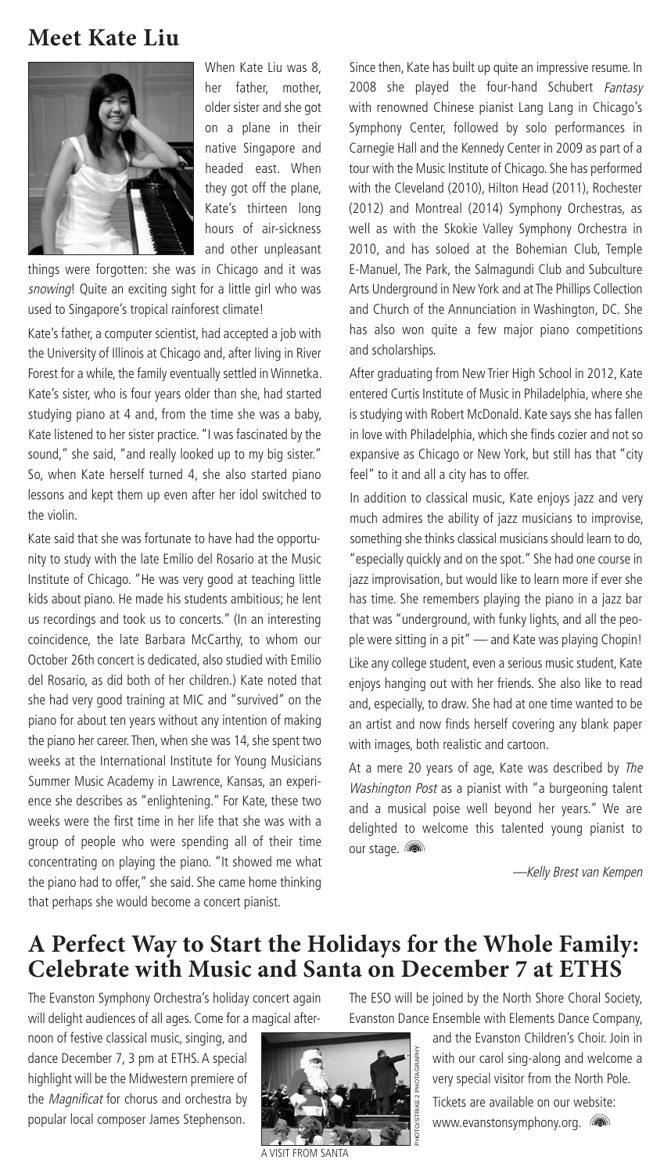### **Meet Kate Liu**



When Kate Liu was 8, her father, mother, older sister and she got on a plane in their native Singapore and headed east. When they got off the plane, Kate's thirteen long hours of air-sickness and other unpleasant

things were forgotten: she was in Chicago and it was snowing! Quite an exciting sight for a little girl who was used to Singapore's tropical rainforest climate!

Kate's father, a computer scientist, had accepted a job with the University of Illinois at Chicago and, after living in River Forest for a while, the family eventually settled in Winnetka. Kate's sister, who is four years older than she, had started studying piano at 4 and, from the time she was a baby, Kate listened to her sister practice. "I was fascinated by the sound," she said, "and really looked up to my big sister." So, when Kate herself turned 4, she also started piano lessons and kept them up even after her idol switched to the violin.

Kate said that she was fortunate to have had the opportunity to study with the late Emilio del Rosario at the Music Institute of Chicago. "He was very good at teaching little kids about piano. He made his students ambitious; he lent us recordings and took us to concerts." (In an interesting coincidence, the late Barbara McCarthy, to whom our October 26th concert is dedicated, also studied with Emilio del Rosario, as did both of her children.) Kate noted that she had very good training at MIC and "survived" on the piano for about ten years without any intention of making the piano her career. Then, when she was 14, she spent two weeks at the International Institute for Young Musicians Summer Music Academy in Lawrence, Kansas, an experience she describes as "enlightening." For Kate, these two weeks were the first time in her life that she was with a group of people who were spending all of their time concentrating on playing the piano. "It showed me what the piano had to offer," she said. She came home thinking that perhaps she would become a concert pianist.

Since then, Kate has built up quite an impressive resume. In 2008 she played the four-hand Schubert Fantasy with renowned Chinese pianist Lang Lang in Chicago's Symphony Center, followed by solo performances in Carnegie Hall and the Kennedy Center in 2009 as part of a tour with the Music Institute of Chicago. She has performed with the Cleveland (2010), Hilton Head (2011), Rochester (2012) and Montreal (2014) Symphony Orchestras, as well as with the Skokie Valley Symphony Orchestra in 2010, and has soloed at the Bohemian Club, Temple E-Manuel, The Park, the Salmagundi Club and Subculture Arts Underground in New York and at The Phillips Collection and Church of the Annunciation in Washington, DC. She has also won quite a few major piano competitions and scholarships.

After graduating from New Trier High School in 2012, Kate entered Curtis Institute of Music in Philadelphia, where she is studying with Robert McDonald. Kate says she has fallen in love with Philadelphia, which she finds cozier and not so expansive as Chicago or New York, but still has that "city feel" to it and all a city has to offer.

In addition to classical music, Kate enjoys jazz and very much admires the ability of jazz musicians to improvise, something she thinks classical musicians should learn to do, "especially quickly and on the spot." She had one course in jazz improvisation, but would like to learn more if ever she has time. She remembers playing the piano in a jazz bar that was "underground, with funky lights, and all the people were sitting in a pit" — and Kate was playing Chopin! Like any college student, even a serious music student, Kate enjoys hanging out with her friends. She also like to read and, especially, to draw. She had at one time wanted to be an artist and now finds herself covering any blank paper with images, both realistic and cartoon.

At a mere 20 years of age, Kate was described by The Washington Post as a pianist with "a burgeoning talent and a musical poise well beyond her years." We are delighted to welcome this talented young pianist to our stage. **(a)** 

—Kelly Brest van Kempen

### **A Perfect Way to Start the Holidays for the Whole Family: Celebrate with Music and Santa on December 7 at ETHS**

The Evanston Symphony Orchestra's holiday concert again will delight audiences of all ages. Come for a magical after-

noon of festive classical music, singing, and dance December 7, 3 pm at ETHS. A special highlight will be the Midwestern premiere of the *Magnificat* for chorus and orchestra by popular local composer James Stephenson.



A VISIT FROM SANTA

The ESO will be joined by the North Shore Choral Society, Evanston Dance Ensemble with Elements Dance Company,

> and the Evanston Children's Choir. Join in with our carol sing-along and welcome a very special visitor from the North Pole.

Tickets are available on our website: www.evanstonsymphony.org. (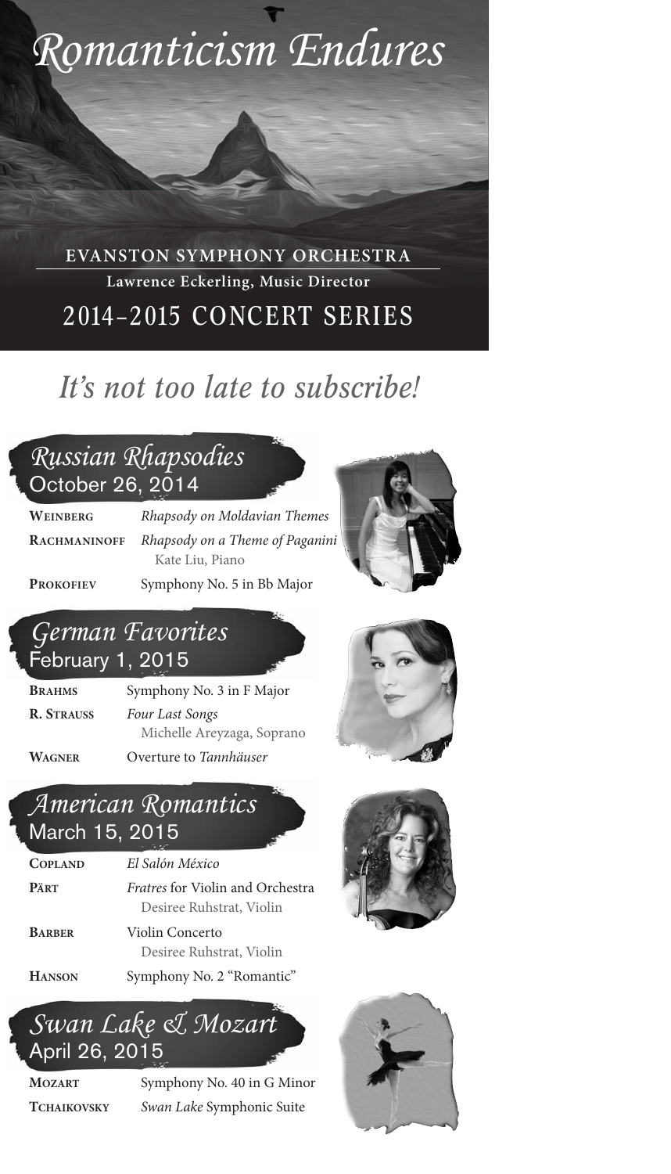

**EVANSTON SYMPHONY ORCHESTRA Lawrence Eckerling, Music Director** 2014–2015 CONCERT SERIES

# *It's not too late to subscribe!*

## *Russian Rhapsodies* October 26, 2014

**WEINBERG** *Rhapsody on Moldavian Themes* **RACHMANINOFF** *Rhapsody on a Theme of Paganini* Kate Liu, Piano

PROKOFIEV Symphony No. 5 in Bb Major



## *German Favorites* February 1, 2015

**BRAHMS** Symphony No. 3 in F Major **R. STRAUSS** *Four Last Songs* Michelle Areyzaga, Soprano



**WAGNER** Overture to *Tannhäuser*

### *American Romantics* March 15, 2015

# **COPLAND** *El Salón México*

**PÄRT** *Fratres* for Violin and Orchestra Desiree Ruhstrat, Violin

**BARBER** Violin Concerto Desiree Ruhstrat, Violin





**MOZART** Symphony No. 40 in G Minor **TCHAIKOVSKY** *Swan Lake* Symphonic Suite